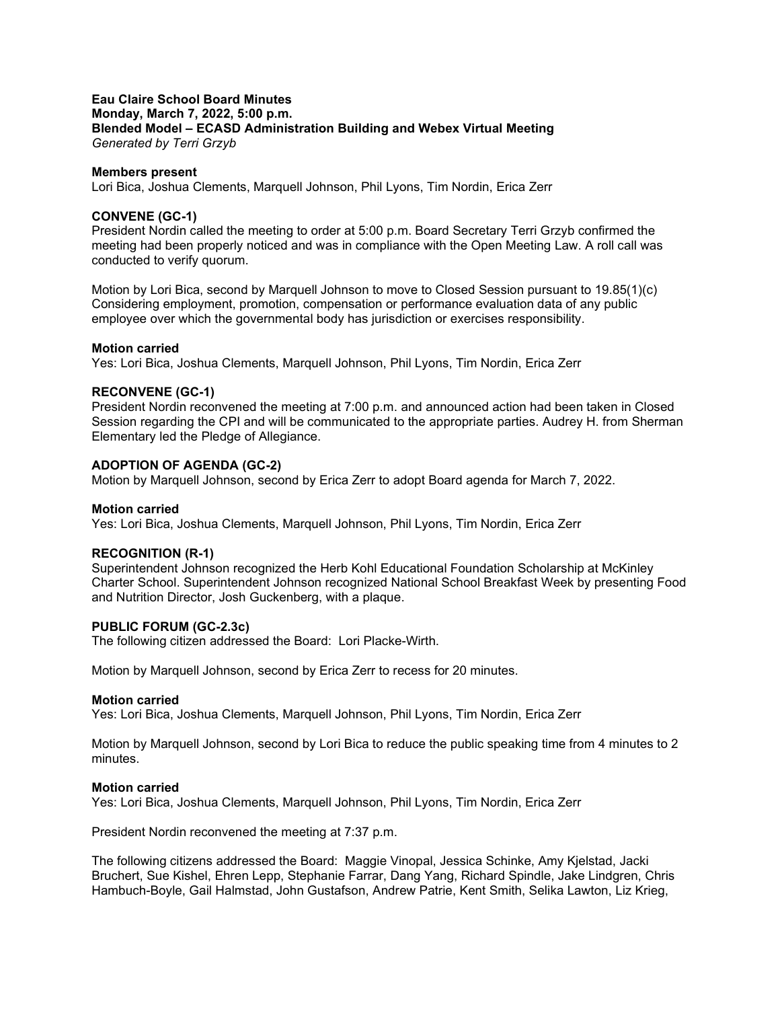## **Eau Claire School Board Minutes Monday, March 7, 2022, 5:00 p.m. Blended Model – ECASD Administration Building and Webex Virtual Meeting** *Generated by Terri Grzyb*

## **Members present**

Lori Bica, Joshua Clements, Marquell Johnson, Phil Lyons, Tim Nordin, Erica Zerr

## **CONVENE (GC-1)**

President Nordin called the meeting to order at 5:00 p.m. Board Secretary Terri Grzyb confirmed the meeting had been properly noticed and was in compliance with the Open Meeting Law. A roll call was conducted to verify quorum.

Motion by Lori Bica, second by Marquell Johnson to move to Closed Session pursuant to 19.85(1)(c) Considering employment, promotion, compensation or performance evaluation data of any public employee over which the governmental body has jurisdiction or exercises responsibility.

## **Motion carried**

Yes: Lori Bica, Joshua Clements, Marquell Johnson, Phil Lyons, Tim Nordin, Erica Zerr

## **RECONVENE (GC-1)**

President Nordin reconvened the meeting at 7:00 p.m. and announced action had been taken in Closed Session regarding the CPI and will be communicated to the appropriate parties. Audrey H. from Sherman Elementary led the Pledge of Allegiance.

## **ADOPTION OF AGENDA (GC-2)**

Motion by Marquell Johnson, second by Erica Zerr to adopt Board agenda for March 7, 2022.

### **Motion carried**

Yes: Lori Bica, Joshua Clements, Marquell Johnson, Phil Lyons, Tim Nordin, Erica Zerr

# **RECOGNITION (R-1)**

Superintendent Johnson recognized the Herb Kohl Educational Foundation Scholarship at McKinley Charter School. Superintendent Johnson recognized National School Breakfast Week by presenting Food and Nutrition Director, Josh Guckenberg, with a plaque.

# **PUBLIC FORUM (GC-2.3c)**

The following citizen addressed the Board: Lori Placke-Wirth.

Motion by Marquell Johnson, second by Erica Zerr to recess for 20 minutes.

### **Motion carried**

Yes: Lori Bica, Joshua Clements, Marquell Johnson, Phil Lyons, Tim Nordin, Erica Zerr

Motion by Marquell Johnson, second by Lori Bica to reduce the public speaking time from 4 minutes to 2 minutes.

### **Motion carried**

Yes: Lori Bica, Joshua Clements, Marquell Johnson, Phil Lyons, Tim Nordin, Erica Zerr

President Nordin reconvened the meeting at 7:37 p.m.

The following citizens addressed the Board: Maggie Vinopal, Jessica Schinke, Amy Kjelstad, Jacki Bruchert, Sue Kishel, Ehren Lepp, Stephanie Farrar, Dang Yang, Richard Spindle, Jake Lindgren, Chris Hambuch-Boyle, Gail Halmstad, John Gustafson, Andrew Patrie, Kent Smith, Selika Lawton, Liz Krieg,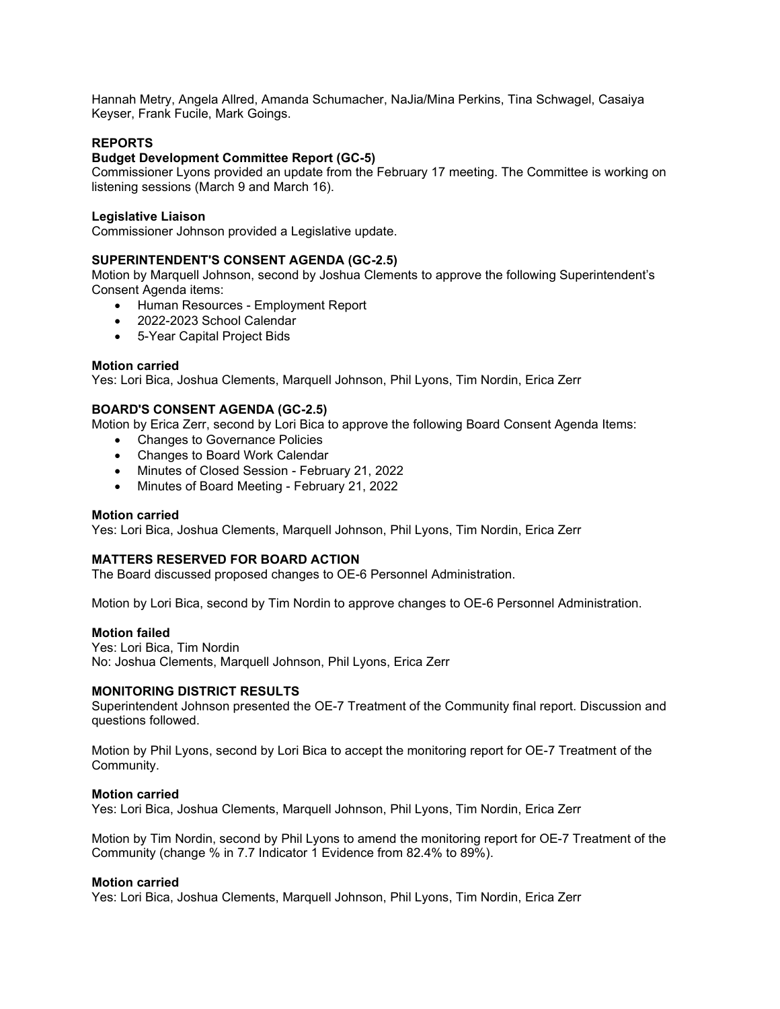Hannah Metry, Angela Allred, Amanda Schumacher, NaJia/Mina Perkins, Tina Schwagel, Casaiya Keyser, Frank Fucile, Mark Goings.

# **REPORTS**

# **Budget Development Committee Report (GC-5)**

Commissioner Lyons provided an update from the February 17 meeting. The Committee is working on listening sessions (March 9 and March 16).

## **Legislative Liaison**

Commissioner Johnson provided a Legislative update.

# **SUPERINTENDENT'S CONSENT AGENDA (GC-2.5)**

Motion by Marquell Johnson, second by Joshua Clements to approve the following Superintendent's Consent Agenda items:

- Human Resources Employment Report
- 2022-2023 School Calendar
- 5-Year Capital Project Bids

## **Motion carried**

Yes: Lori Bica, Joshua Clements, Marquell Johnson, Phil Lyons, Tim Nordin, Erica Zerr

# **BOARD'S CONSENT AGENDA (GC-2.5)**

Motion by Erica Zerr, second by Lori Bica to approve the following Board Consent Agenda Items:

- Changes to Governance Policies
- Changes to Board Work Calendar
- Minutes of Closed Session February 21, 2022
- Minutes of Board Meeting February 21, 2022

### **Motion carried**

Yes: Lori Bica, Joshua Clements, Marquell Johnson, Phil Lyons, Tim Nordin, Erica Zerr

# **MATTERS RESERVED FOR BOARD ACTION**

The Board discussed proposed changes to OE-6 Personnel Administration.

Motion by Lori Bica, second by Tim Nordin to approve changes to OE-6 Personnel Administration.

### **Motion failed**

Yes: Lori Bica, Tim Nordin No: Joshua Clements, Marquell Johnson, Phil Lyons, Erica Zerr

# **MONITORING DISTRICT RESULTS**

Superintendent Johnson presented the OE-7 Treatment of the Community final report. Discussion and questions followed.

Motion by Phil Lyons, second by Lori Bica to accept the monitoring report for OE-7 Treatment of the Community.

### **Motion carried**

Yes: Lori Bica, Joshua Clements, Marquell Johnson, Phil Lyons, Tim Nordin, Erica Zerr

Motion by Tim Nordin, second by Phil Lyons to amend the monitoring report for OE-7 Treatment of the Community (change % in 7.7 Indicator 1 Evidence from 82.4% to 89%).

### **Motion carried**

Yes: Lori Bica, Joshua Clements, Marquell Johnson, Phil Lyons, Tim Nordin, Erica Zerr